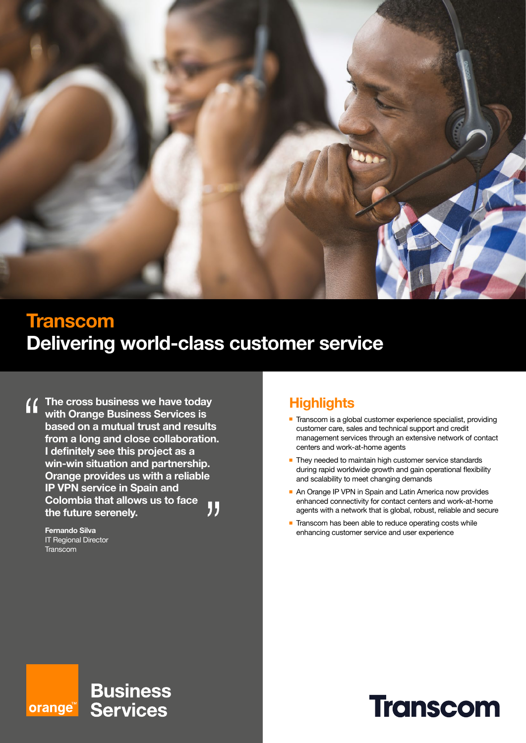

## **Transcom Delivering world-class customer service**

**The cross business we have today**   $\mathbf{f}$ **with Orange Business Services is based on a mutual trust and results from a long and close collaboration. I definitely see this project as a win-win situation and partnership. Orange provides us with a reliable IP VPN service in Spain and Colombia that allows us to face**  " **the future serenely.**

> **Fernando Silva** IT Regional Director **Transcom**

## **Highlights**

- Transcom is a global customer experience specialist, providing customer care, sales and technical support and credit management services through an extensive network of contact centers and work-at-home agents
- They needed to maintain high customer service standards during rapid worldwide growth and gain operational flexibility and scalability to meet changing demands
- An Orange IP VPN in Spain and Latin America now provides enhanced connectivity for contact centers and work-at-home agents with a network that is global, robust, reliable and secure
- $\blacksquare$  Transcom has been able to reduce operating costs while enhancing customer service and user experience

#### **Business** orange<sup>™</sup> **Services**

# **Transcom**